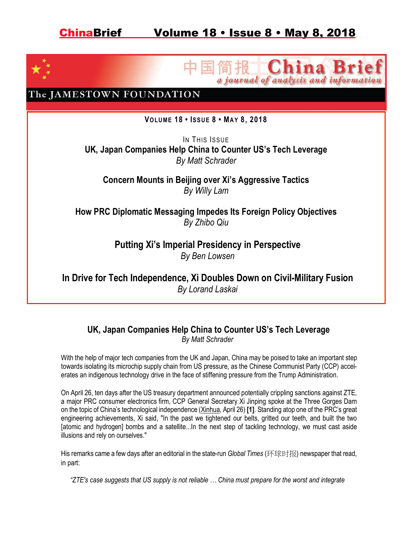

### China a journal of analysis and informa

The JAMESTOWN FOUNDATION

**VOLUME 18 • ISSUE 8 • MAY 8, 2018**

IN THIS ISSUE **UK, Japan Companies Help China to Counter US's Tech Leverage** *By Matt Schrader*

**Concern Mounts in Beijing over Xi's Aggressive Tactics** *By Willy Lam*

**How PRC Diplomatic Messaging Impedes Its Foreign Policy Objectives** *By Zhibo Qiu*

> **Putting Xi's Imperial Presidency in Perspective** *By Ben Lowsen*

**In Drive for Tech Independence, Xi Doubles Down on Civil-Military Fusion** *By Lorand Laskai*

### **UK, Japan Companies Help China to Counter US's Tech Leverage** *By Matt Schrader*

With the help of major tech companies from the UK and Japan, China may be poised to take an important step towards isolating its microchip supply chain from US pressure, as the Chinese Communist Party (CCP) accelerates an indigenous technology drive in the face of stiffening pressure from the Trump Administration.

On April 26, ten days after the US treasury department announced potentially crippling sanctions against ZTE, a major PRC consumer electronics firm, CCP General Secretary Xi Jinping spoke at the Three Gorges Dam on the topic of China's technological independence (Xinhua, April 26) **[1]**. Standing atop one of the PRC's great engineering achievements, Xi said, "In the past we tightened our belts, gritted our teeth, and built the two [atomic and hydrogen] bombs and a satellite...In the next step of tackling technology, we must cast aside illusions and rely on ourselves."

His remarks came a few days after an editorial in the state-run *Global Times* (环球时报) newspaper that read, in part:

*"ZTE's case suggests that US supply is not reliable … China must prepare for the worst and integrate*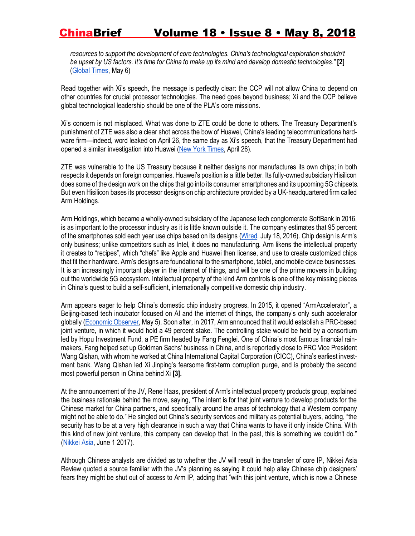resources to support the development of core technologies. China's technological exploration shouldn't *be upset by US factors. It's time for China to make up its mind and develop domestic technologies."* **[2]** (Global Times, May 6)

Read together with Xi's speech, the message is perfectly clear: the CCP will not allow China to depend on other countries for crucial processor technologies. The need goes beyond business; Xi and the CCP believe global technological leadership should be one of the PLA's core missions.

Xi's concern is not misplaced. What was done to ZTE could be done to others. The Treasury Department's punishment of ZTE was also a clear shot across the bow of Huawei, China's leading telecommunications hardware firm—indeed, word leaked on April 26, the same day as Xi's speech, that the Treasury Department had opened a similar investigation into Huawei (New York Times, April 26).

ZTE was vulnerable to the US Treasury because it neither designs nor manufactures its own chips; in both respects it depends on foreign companies. Huawei's position is a little better. Its fully-owned subsidiary Hisilicon does some of the design work on the chips that go into its consumer smartphones and its upcoming 5G chipsets. But even Hisilicon bases its processor designs on chip architecture provided by a UK-headquartered firm called Arm Holdings.

Arm Holdings, which became a wholly-owned subsidiary of the Japanese tech conglomerate SoftBank in 2016, is as important to the processor industry as it is little known outside it. The company estimates that 95 percent of the smartphones sold each year use chips based on its designs (Wired, July 18, 2016). Chip design is Arm's only business; unlike competitors such as Intel, it does no manufacturing. Arm likens the intellectual property it creates to "recipes", which "chefs" like Apple and Huawei then license, and use to create customized chips that fit their hardware. Arm's designs are foundational to the smartphone, tablet, and mobile device businesses. It is an increasingly important player in the internet of things, and will be one of the prime movers in building out the worldwide 5G ecosystem. Intellectual property of the kind Arm controls is one of the key missing pieces in China's quest to build a self-sufficient, internationally competitive domestic chip industry.

Arm appears eager to help China's domestic chip industry progress. In 2015, it opened "ArmAccelerator", a Beijing-based tech incubator focused on AI and the internet of things, the company's only such accelerator globally (Economic Observer, May 5). Soon after, in 2017, Arm announced that it would establish a PRC-based joint venture, in which it would hold a 49 percent stake. The controlling stake would be held by a consortium led by Hopu Investment Fund, a PE firm headed by Fang Fenglei. One of China's most famous financial rainmakers, Fang helped set up Goldman Sachs' business in China, and is reportedly close to PRC Vice President Wang Qishan, with whom he worked at China International Capital Corporation (CICC), China's earliest investment bank. Wang Qishan led Xi Jinping's fearsome first-term corruption purge, and is probably the second most powerful person in China behind Xi **[3].**

At the announcement of the JV, Rene Haas, president of Arm's intellectual property products group, explained the business rationale behind the move, saying, "The intent is for that joint venture to develop products for the Chinese market for China partners, and specifically around the areas of technology that a Western company might not be able to do." He singled out China's security services and military as potential buyers, adding, "the security has to be at a very high clearance in such a way that China wants to have it only inside China. With this kind of new joint venture, this company can develop that. In the past, this is something we couldn't do." (Nikkei Asia, June 1 2017).

Although Chinese analysts are divided as to whether the JV will result in the transfer of core IP, Nikkei Asia Review quoted a source familiar with the JV's planning as saying it could help allay Chinese chip designers' fears they might be shut out of access to Arm IP, adding that "with this joint venture, which is now a Chinese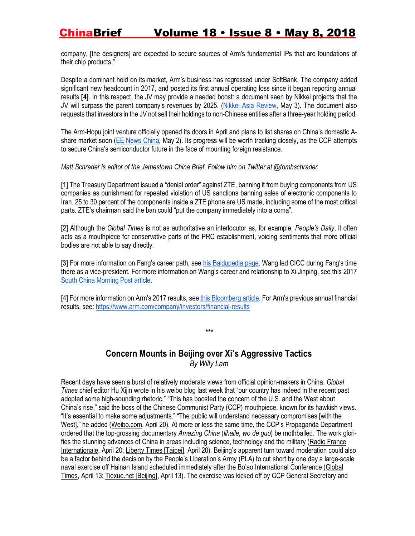company, [the designers] are expected to secure sources of Arm's fundamental IPs that are foundations of their chip products."

Despite a dominant hold on its market, Arm's business has regressed under SoftBank. The company added significant new headcount in 2017, and posted its first annual operating loss since it began reporting annual results **[4]**. In this respect, the JV may provide a needed boost: a document seen by Nikkei projects that the JV will surpass the parent company's revenues by 2025. (Nikkei Asia Review, May 3). The document also requests that investors in the JV not sell their holdings to non-Chinese entities after a three-year holding period.

The Arm-Hopu joint venture officially opened its doors in April and plans to list shares on China's domestic Ashare market soon (EE News China, May 2). Its progress will be worth tracking closely, as the CCP attempts to secure China's semiconductor future in the face of mounting foreign resistance.

*Matt Schrader is editor of the Jamestown China Brief. Follow him on Twitter at @tombschrader.*

[1] The Treasury Department issued a "denial order" against ZTE, banning it from buying components from US companies as punishment for repeated violation of US sanctions banning sales of electronic components to Iran. 25 to 30 percent of the components inside a ZTE phone are US made, including some of the most critical parts. ZTE's chairman said the ban could "put the company immediately into a coma".

[2] Although the *Global Times* is not as authoritative an interlocutor as, for example, *People's Daily*, it often acts as a mouthpiece for conservative parts of the PRC establishment, voicing sentiments that more official bodies are not able to say directly.

[3] For more information on Fang's career path, see his Baidupedia page. Wang led CICC during Fang's time there as a vice-president. For more information on Wang's career and relationship to Xi Jinping, see this 2017 South China Morning Post article.

[4] For more information on Arm's 2017 results, see this Bloomberg article. For Arm's previous annual financial results, see: https://www.arm.com/company/investors/financial-results

### **Concern Mounts in Beijing over Xi's Aggressive Tactics** *By Willy Lam*

*\*\*\**

Recent days have seen a burst of relatively moderate views from official opinion-makers in China. *Global Times* chief editor Hu Xijin wrote in his weibo blog last week that "our country has indeed in the recent past adopted some high-sounding rhetoric." "This has boosted the concern of the U.S. and the West about China's rise," said the boss of the Chinese Communist Party (CCP) mouthpiece, known for its hawkish views. "It's essential to make some adjustments." "The public will understand necessary compromises [with the West]," he added (Weibo.com, April 20). At more or less the same time, the CCP's Propaganda Department ordered that the top-grossing documentary *Amazing China* (*lihaile, wo de guo*) be mothballed. The work glorifies the stunning advances of China in areas including science, technology and the military (Radio France Internationale, April 20; Liberty Times [Taipei], April 20). Beijing's apparent turn toward moderation could also be a factor behind the decision by the People's Liberation's Army (PLA) to cut short by one day a large-scale naval exercise off Hainan Island scheduled immediately after the Bo'ao International Conference (Global Times, April 13; Tiexue.net [Beijing], April 13). The exercise was kicked off by CCP General Secretary and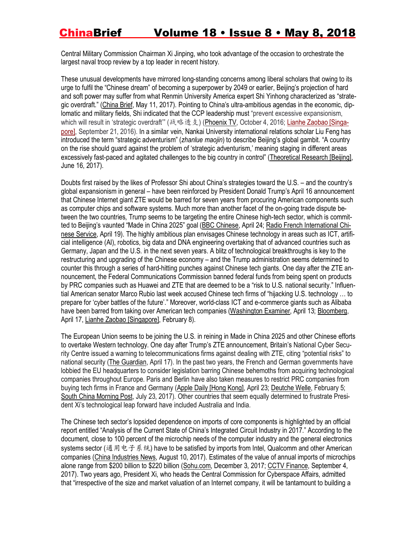Central Military Commission Chairman Xi Jinping, who took advantage of the occasion to orchestrate the largest naval troop review by a top leader in recent history.

These unusual developments have mirrored long-standing concerns among liberal scholars that owing to its urge to fulfil the "Chinese dream" of becoming a superpower by 2049 or earlier, Beijing's projection of hard and soft power may suffer from what Renmin University America expert Shi Yinhong characterized as "strategic overdraft." (China Brief, May 11, 2017). Pointing to China's ultra-ambitious agendas in the economic, diplomatic and military fields, Shi indicated that the CCP leadership must "prevent excessive expansionism, which will result in 'strategic overdraft'" (战略透支) (Phoenix TV, October 4, 2016; Lianhe Zaobao [Singapore], September 21, 2016). In a similar vein, Nankai University international relations scholar Liu Feng has introduced the term "strategic adventurism" (*zhanlue maojin*) to describe Beijing's global gambit. "A country on the rise should guard against the problem of 'strategic adventurism,' meaning staging in different areas excessively fast-paced and agitated challenges to the big country in control" (Theoretical Research [Beijing], June 16, 2017).

Doubts first raised by the likes of Professor Shi about China's strategies toward the U.S. – and the country's global expansionism in general – have been reinforced by President Donald Trump's April 16 announcement that Chinese Internet giant ZTE would be barred for seven years from procuring American components such as computer chips and software systems. Much more than another facet of the on-going trade dispute between the two countries, Trump seems to be targeting the entire Chinese high-tech sector, which is committed to Beijing's vaunted "Made in China 2025" goal (BBC Chinese, April 24; Radio French International Chinese Service, April 19). The highly ambitious plan envisages Chinese technology in areas such as ICT, artificial intelligence (AI), robotics, big data and DNA engineering overtaking that of advanced countries such as Germany, Japan and the U.S. in the next seven years. A blitz of technological breakthroughs is key to the restructuring and upgrading of the Chinese economy – and the Trump administration seems determined to counter this through a series of hard-hitting punches against Chinese tech giants. One day after the ZTE announcement, the Federal Communications Commission banned federal funds from being spent on products by PRC companies such as Huawei and ZTE that are deemed to be a "risk to U.S. national security." Influential American senator Marco Rubio last week accused Chinese tech firms of "hijacking U.S. technology … to prepare for 'cyber battles of the future'." Moreover, world-class ICT and e-commerce giants such as Alibaba have been barred from taking over American tech companies (Washington Examiner, April 13; Bloomberg, April 17, Lianhe Zaobao [Singapore], February 8).

The European Union seems to be joining the U.S. in reining in Made in China 2025 and other Chinese efforts to overtake Western technology. One day after Trump's ZTE announcement, Britain's National Cyber Security Centre issued a warning to telecommunications firms against dealing with ZTE, citing "potential risks" to national security (The Guardian, April 17). In the past two years, the French and German governments have lobbied the EU headquarters to consider legislation barring Chinese behemoths from acquiring technological companies throughout Europe. Paris and Berlin have also taken measures to restrict PRC companies from buying tech firms in France and Germany (Apple Daily [Hong Kong], April 23; Deutche Welle, February 5; South China Morning Post, July 23, 2017). Other countries that seem equally determined to frustrate President Xi's technological leap forward have included Australia and India.

The Chinese tech sector's lopsided dependence on imports of core components is highlighted by an official report entitled "Analysis of the Current State of China's Integrated Circuit Industry in 2017." According to the document, close to 100 percent of the microchip needs of the computer industry and the general electronics systems sector (通用电子系统) have to be satisfied by imports from Intel, Qualcomm and other American companies (China Industries News, August 10, 2017). Estimates of the value of annual imports of microchips alone range from \$200 billion to \$220 billion (Sohu.com, December 3, 2017; CCTV Finance, September 4, 2017). Two years ago, President Xi, who heads the Central Commission for Cyberspace Affairs, admitted that "irrespective of the size and market valuation of an Internet company, it will be tantamount to building a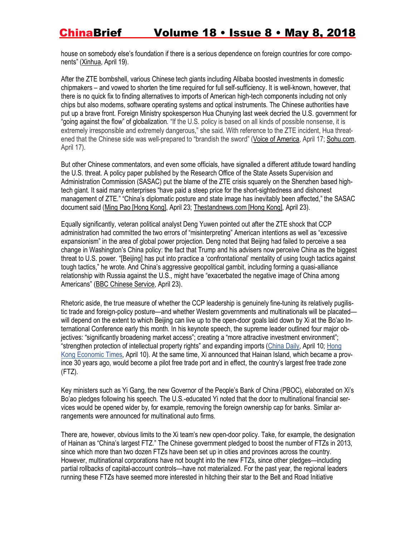house on somebody else's foundation if there is a serious dependence on foreign countries for core components" (Xinhua, April 19).

After the ZTE bombshell, various Chinese tech giants including Alibaba boosted investments in domestic chipmakers – and vowed to shorten the time required for full self-sufficiency. It is well-known, however, that there is no quick fix to finding alternatives to imports of American high-tech components including not only chips but also modems, software operating systems and optical instruments. The Chinese authorities have put up a brave front. Foreign Ministry spokesperson Hua Chunying last week decried the U.S. government for "going against the flow" of globalization. "If the U.S. policy is based on all kinds of possible nonsense, it is extremely irresponsible and extremely dangerous," she said. With reference to the ZTE incident, Hua threatened that the Chinese side was well-prepared to "brandish the sword" (Voice of America, April 17; Sohu.com, April 17).

But other Chinese commentators, and even some officials, have signalled a different attitude toward handling the U.S. threat. A policy paper published by the Research Office of the State Assets Supervision and Administration Commission (SASAC) put the blame of the ZTE crisis squarely on the Shenzhen based hightech giant. It said many enterprises "have paid a steep price for the short-sightedness and dishonest management of ZTE." "China's diplomatic posture and state image has inevitably been affected," the SASAC document said (Ming Pao [Hong Kong], April 23; Thestandnews.com [Hong Kong], April 23).

Equally significantly, veteran political analyst Deng Yuwen pointed out after the ZTE shock that CCP administration had committed the two errors of "misinterpreting" American intentions as well as "excessive expansionism" in the area of global power projection. Deng noted that Beijing had failed to perceive a sea change in Washington's China policy: the fact that Trump and his advisers now perceive China as the biggest threat to U.S. power. "[Beijing] has put into practice a 'confrontational' mentality of using tough tactics against tough tactics," he wrote. And China's aggressive geopolitical gambit, including forming a quasi-alliance relationship with Russia against the U.S., might have "exacerbated the negative image of China among Americans" (BBC Chinese Service, April 23).

Rhetoric aside, the true measure of whether the CCP leadership is genuinely fine-tuning its relatively pugilistic trade and foreign-policy posture—and whether Western governments and multinationals will be placated will depend on the extent to which Beijing can live up to the open-door goals laid down by Xi at the Bo'ao International Conference early this month. In his keynote speech, the supreme leader outlined four major objectives: "significantly broadening market access"; creating a "more attractive investment environment"; "strengthen protection of intellectual property rights" and expanding imports (China Daily, April 10; Hong Kong Economic Times, April 10). At the same time, Xi announced that Hainan Island, which became a province 30 years ago, would become a pilot free trade port and in effect, the country's largest free trade zone (FTZ).

Key ministers such as Yi Gang, the new Governor of the People's Bank of China (PBOC), elaborated on Xi's Bo'ao pledges following his speech. The U.S.-educated Yi noted that the door to multinational financial services would be opened wider by, for example, removing the foreign ownership cap for banks. Similar arrangements were announced for multinational auto firms.

There are, however, obvious limits to the Xi team's new open-door policy. Take, for example, the designation of Hainan as "China's largest FTZ." The Chinese government pledged to boost the number of FTZs in 2013, since which more than two dozen FTZs have been set up in cities and provinces across the country. However, multinational corporations have not bought into the new FTZs, since other pledges—including partial rollbacks of capital-account controls—have not materialized. For the past year, the regional leaders running these FTZs have seemed more interested in hitching their star to the Belt and Road Initiative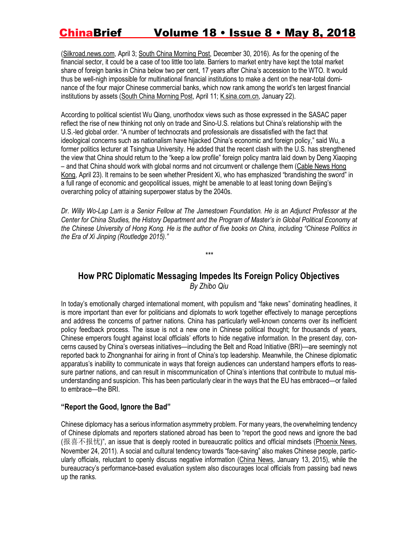(Silkroad.news.com, April 3; South China Morning Post, December 30, 2016). As for the opening of the financial sector, it could be a case of too little too late. Barriers to market entry have kept the total market share of foreign banks in China below two per cent, 17 years after China's accession to the WTO. It would thus be well-nigh impossible for multinational financial institutions to make a dent on the near-total dominance of the four major Chinese commercial banks, which now rank among the world's ten largest financial institutions by assets (South China Morning Post, April 11; K.sina.com.cn, January 22).

According to political scientist Wu Qiang, unorthodox views such as those expressed in the SASAC paper reflect the rise of new thinking not only on trade and Sino-U.S. relations but China's relationship with the U.S.-led global order. "A number of technocrats and professionals are dissatisfied with the fact that ideological concerns such as nationalism have hijacked China's economic and foreign policy," said Wu, a former politics lecturer at Tsinghua University. He added that the recent clash with the U.S. has strengthened the view that China should return to the "keep a low profile" foreign policy mantra laid down by Deng Xiaoping – and that China should work with global norms and not circumvent or challenge them (Cable News Hong Kong, April 23). It remains to be seen whether President Xi, who has emphasized "brandishing the sword" in a full range of economic and geopolitical issues, might be amenable to at least toning down Beijing's overarching policy of attaining superpower status by the 2040s.

*Dr. Willy Wo-Lap Lam is a Senior Fellow at The Jamestown Foundation. He is an Adjunct Professor at the Center for China Studies, the History Department and the Program of Master's in Global Political Economy at the Chinese University of Hong Kong. He is the author of five books on China, including "Chinese Politics in the Era of Xi Jinping (Routledge 2015)."*

*\*\*\**

### **How PRC Diplomatic Messaging Impedes Its Foreign Policy Objectives** *By Zhibo Qiu*

In today's emotionally charged international moment, with populism and "fake news" dominating headlines, it is more important than ever for politicians and diplomats to work together effectively to manage perceptions and address the concerns of partner nations. China has particularly well-known concerns over its inefficient policy feedback process. The issue is not a new one in Chinese political thought; for thousands of years, Chinese emperors fought against local officials' efforts to hide negative information. In the present day, concerns caused by China's overseas initiatives—including the Belt and Road Initiative (BRI)—are seemingly not reported back to Zhongnanhai for airing in front of China's top leadership. Meanwhile, the Chinese diplomatic apparatus's inability to communicate in ways that foreign audiences can understand hampers efforts to reassure partner nations, and can result in miscommunication of China's intentions that contribute to mutual misunderstanding and suspicion. This has been particularly clear in the ways that the EU has embraced—or failed to embrace—the BRI.

#### **"Report the Good, Ignore the Bad"**

Chinese diplomacy has a serious information asymmetry problem. For many years, the overwhelming tendency of Chinese diplomats and reporters stationed abroad has been to "report the good news and ignore the bad (报喜不报忧)", an issue that is deeply rooted in bureaucratic politics and official mindsets (Phoenix News, November 24, 2011). A social and cultural tendency towards "face-saving" also makes Chinese people, particularly officials, reluctant to openly discuss negative information (China News, January 13, 2015), while the bureaucracy's performance-based evaluation system also discourages local officials from passing bad news up the ranks.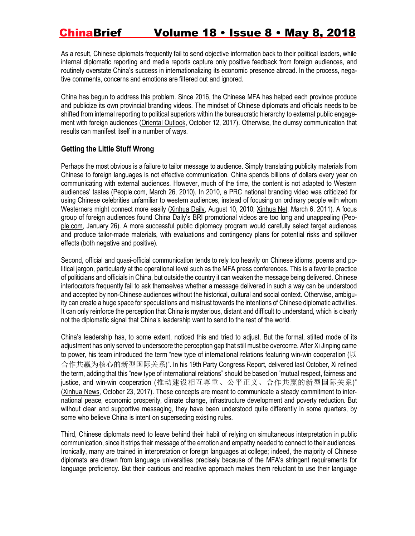As a result, Chinese diplomats frequently fail to send objective information back to their political leaders, while internal diplomatic reporting and media reports capture only positive feedback from foreign audiences, and routinely overstate China's success in internationalizing its economic presence abroad. In the process, negative comments, concerns and emotions are filtered out and ignored.

China has begun to address this problem. Since 2016, the Chinese MFA has helped each province produce and publicize its own provincial branding videos. The mindset of Chinese diplomats and officials needs to be shifted from internal reporting to political superiors within the bureaucratic hierarchy to external public engagement with foreign audiences (Oriental Outlook, October 12, 2017). Otherwise, the clumsy communication that results can manifest itself in a number of ways.

#### **Getting the Little Stuff Wrong**

Perhaps the most obvious is a failure to tailor message to audience. Simply translating publicity materials from Chinese to foreign languages is not effective communication. China spends billions of dollars every year on communicating with external audiences. However, much of the time, the content is not adapted to Western audiences' tastes (People.com, March 26, 2010). In 2010, a PRC national branding video was criticized for using Chinese celebrities unfamiliar to western audiences, instead of focusing on ordinary people with whom Westerners might connect more easily (Xinhua Daily, August 10, 2010; Xinhua Net, March 6, 2011). A focus group of foreign audiences found China Daily's BRI promotional videos are too long and unappealing (People.com, January 26). A more successful public diplomacy program would carefully select target audiences and produce tailor-made materials, with evaluations and contingency plans for potential risks and spillover effects (both negative and positive).

Second, official and quasi-official communication tends to rely too heavily on Chinese idioms, poems and political jargon, particularly at the operational level such as the MFA press conferences. This is a favorite practice of politicians and officials in China, but outside the country it can weaken the message being delivered. Chinese interlocutors frequently fail to ask themselves whether a message delivered in such a way can be understood and accepted by non-Chinese audiences without the historical, cultural and social context. Otherwise, ambiguity can create a huge space for speculations and mistrust towards the intentions of Chinese diplomatic activities. It can only reinforce the perception that China is mysterious, distant and difficult to understand, which is clearly not the diplomatic signal that China's leadership want to send to the rest of the world.

China's leadership has, to some extent, noticed this and tried to adjust. But the formal, stilted mode of its adjustment has only served to underscore the perception gap that still must be overcome. After Xi Jinping came to power, his team introduced the term "new type of international relations featuring win-win cooperation (以 合作共赢为核心的新型国际关系)". In his 19th Party Congress Report, delivered last October, Xi refined the term, adding that this "new type of international relations" should be based on "mutual respect, fairness and justice, and win-win cooperation (推动建设相互尊重、公平正义、合作共赢的新型国际关系)" (Xinhua News, October 23, 2017). These concepts are meant to communicate a steady commitment to international peace, economic prosperity, climate change, infrastructure development and poverty reduction. But without clear and supportive messaging, they have been understood quite differently in some quarters, by some who believe China is intent on superseding existing rules.

Third, Chinese diplomats need to leave behind their habit of relying on simultaneous interpretation in public communication, since it strips their message of the emotion and empathy needed to connect to their audiences. Ironically, many are trained in interpretation or foreign languages at college; indeed, the majority of Chinese diplomats are drawn from language universities precisely because of the MFA's stringent requirements for language proficiency. But their cautious and reactive approach makes them reluctant to use their language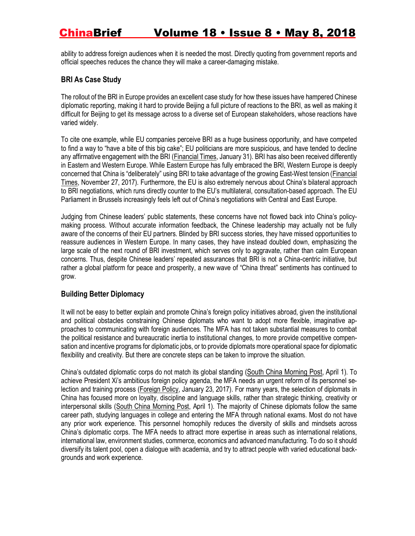ability to address foreign audiences when it is needed the most. Directly quoting from government reports and official speeches reduces the chance they will make a career-damaging mistake.

#### **BRI As Case Study**

The rollout of the BRI in Europe provides an excellent case study for how these issues have hampered Chinese diplomatic reporting, making it hard to provide Beijing a full picture of reactions to the BRI, as well as making it difficult for Beijing to get its message across to a diverse set of European stakeholders, whose reactions have varied widely.

To cite one example, while EU companies perceive BRI as a huge business opportunity, and have competed to find a way to "have a bite of this big cake"; EU politicians are more suspicious, and have tended to decline any affirmative engagement with the BRI (Financial Times, January 31). BRI has also been received differently in Eastern and Western Europe. While Eastern Europe has fully embraced the BRI, Western Europe is deeply concerned that China is "deliberately" using BRI to take advantage of the growing East-West tension (Financial Times, November 27, 2017). Furthermore, the EU is also extremely nervous about China's bilateral approach to BRI negotiations, which runs directly counter to the EU's multilateral, consultation-based approach. The EU Parliament in Brussels increasingly feels left out of China's negotiations with Central and East Europe.

Judging from Chinese leaders' public statements, these concerns have not flowed back into China's policymaking process. Without accurate information feedback, the Chinese leadership may actually not be fully aware of the concerns of their EU partners. Blinded by BRI success stories, they have missed opportunities to reassure audiences in Western Europe. In many cases, they have instead doubled down, emphasizing the large scale of the next round of BRI investment, which serves only to aggravate, rather than calm European concerns. Thus, despite Chinese leaders' repeated assurances that BRI is not a China-centric initiative, but rather a global platform for peace and prosperity, a new wave of "China threat" sentiments has continued to grow.

#### **Building Better Diplomacy**

It will not be easy to better explain and promote China's foreign policy initiatives abroad, given the institutional and political obstacles constraining Chinese diplomats who want to adopt more flexible, imaginative approaches to communicating with foreign audiences. The MFA has not taken substantial measures to combat the political resistance and bureaucratic inertia to institutional changes, to more provide competitive compensation and incentive programs for diplomatic jobs, or to provide diplomats more operational space for diplomatic flexibility and creativity. But there are concrete steps can be taken to improve the situation.

China's outdated diplomatic corps do not match its global standing (South China Morning Post, April 1). To achieve President Xi's ambitious foreign policy agenda, the MFA needs an urgent reform of its personnel selection and training process (Foreign Policy, January 23, 2017). For many years, the selection of diplomats in China has focused more on loyalty, discipline and language skills, rather than strategic thinking, creativity or interpersonal skills (South China Morning Post, April 1). The majority of Chinese diplomats follow the same career path, studying languages in college and entering the MFA through national exams. Most do not have any prior work experience. This personnel homophily reduces the diversity of skills and mindsets across China's diplomatic corps. The MFA needs to attract more expertise in areas such as international relations, international law, environment studies, commerce, economics and advanced manufacturing. To do so it should diversify its talent pool, open a dialogue with academia, and try to attract people with varied educational backgrounds and work experience.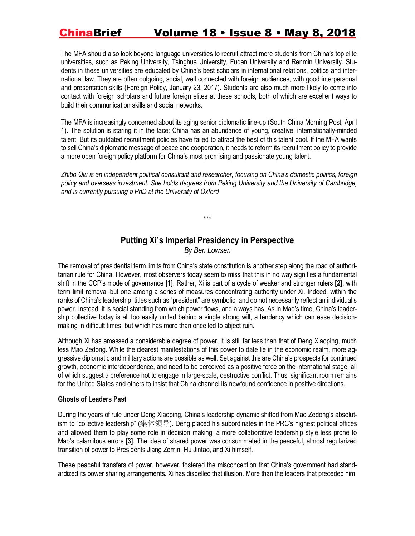The MFA should also look beyond language universities to recruit attract more students from China's top elite universities, such as Peking University, Tsinghua University, Fudan University and Renmin University. Students in these universities are educated by China's best scholars in international relations, politics and international law. They are often outgoing, social, well connected with foreign audiences, with good interpersonal and presentation skills (Foreign Policy, January 23, 2017). Students are also much more likely to come into contact with foreign scholars and future foreign elites at these schools, both of which are excellent ways to build their communication skills and social networks.

The MFA is increasingly concerned about its aging senior diplomatic line-up (South China Morning Post, April 1). The solution is staring it in the face: China has an abundance of young, creative, internationally-minded talent. But its outdated recruitment policies have failed to attract the best of this talent pool. If the MFA wants to sell China's diplomatic message of peace and cooperation, it needs to reform its recruitment policy to provide a more open foreign policy platform for China's most promising and passionate young talent.

*Zhibo Qiu is an independent political consultant and researcher, focusing on China's domestic politics, foreign policy and overseas investment. She holds degrees from Peking University and the University of Cambridge, and is currently pursuing a PhD at the University of Oxford*

\*\*\*

# **Putting Xi's Imperial Presidency in Perspective**

*By Ben Lowsen*

The removal of presidential term limits from China's state constitution is another step along the road of authoritarian rule for China. However, most observers today seem to miss that this in no way signifies a fundamental shift in the CCP's mode of governance **[1]**. Rather, Xi is part of a cycle of weaker and stronger rulers **[2]**, with term limit removal but one among a series of measures concentrating authority under Xi. Indeed, within the ranks of China's leadership, titles such as "president" are symbolic, and do not necessarily reflect an individual's power. Instead, it is social standing from which power flows, and always has. As in Mao's time, China's leadership collective today is all too easily united behind a single strong will, a tendency which can ease decisionmaking in difficult times, but which has more than once led to abject ruin.

Although Xi has amassed a considerable degree of power, it is still far less than that of Deng Xiaoping, much less Mao Zedong. While the clearest manifestations of this power to date lie in the economic realm, more aggressive diplomatic and military actions are possible as well. Set against this are China's prospects for continued growth, economic interdependence, and need to be perceived as a positive force on the international stage, all of which suggest a preference not to engage in large-scale, destructive conflict. Thus, significant room remains for the United States and others to insist that China channel its newfound confidence in positive directions.

#### **Ghosts of Leaders Past**

During the years of rule under Deng Xiaoping, China's leadership dynamic shifted from Mao Zedong's absolutism to "collective leadership" (集体领导). Deng placed his subordinates in the PRC's highest political offices and allowed them to play some role in decision making, a more collaborative leadership style less prone to Mao's calamitous errors **[3]**. The idea of shared power was consummated in the peaceful, almost regularized transition of power to Presidents Jiang Zemin, Hu Jintao, and Xi himself.

These peaceful transfers of power, however, fostered the misconception that China's government had standardized its power sharing arrangements. Xi has dispelled that illusion. More than the leaders that preceded him,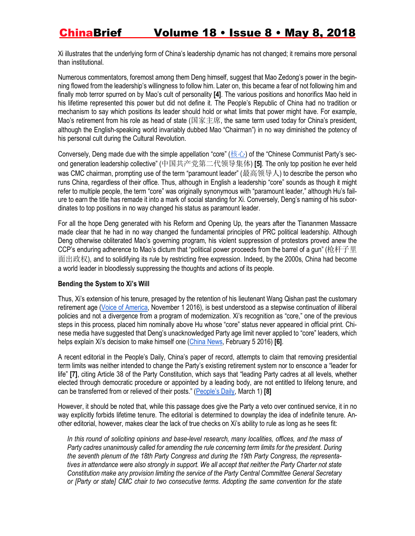Xi illustrates that the underlying form of China's leadership dynamic has not changed; it remains more personal than institutional.

Numerous commentators, foremost among them Deng himself, suggest that Mao Zedong's power in the beginning flowed from the leadership's willingness to follow him. Later on, this became a fear of not following him and finally mob terror spurred on by Mao's cult of personality **[4]**. The various positions and honorifics Mao held in his lifetime represented this power but did not define it. The People's Republic of China had no tradition or mechanism to say which positions its leader should hold or what limits that power might have. For example, Mao's retirement from his role as head of state (国家主席, the same term used today for China's president, although the English-speaking world invariably dubbed Mao "Chairman") in no way diminished the potency of his personal cult during the Cultural Revolution.

Conversely, Deng made due with the simple appellation "core" (核心) of the "Chinese Communist Party's second generation leadership collective" (中国共产党第二代领导集体) **[5]**. The only top position he ever held was CMC chairman, prompting use of the term "paramount leader" (最高领导人) to describe the person who runs China, regardless of their office. Thus, although in English a leadership "core" sounds as though it might refer to multiple people, the term "core" was originally synonymous with "paramount leader," although Hu's failure to earn the title has remade it into a mark of social standing for Xi. Conversely, Deng's naming of his subordinates to top positions in no way changed his status as paramount leader.

For all the hope Deng generated with his Reform and Opening Up, the years after the Tiananmen Massacre made clear that he had in no way changed the fundamental principles of PRC political leadership. Although Deng otherwise obliterated Mao's governing program, his violent suppression of protestors proved anew the CCP's enduring adherence to Mao's dictum that "political power proceeds from the barrel of a gun" (枪杆子里 面出政权), and to solidifying its rule by restricting free expression. Indeed, by the 2000s, China had become a world leader in bloodlessly suppressing the thoughts and actions of its people.

#### **Bending the System to Xi's Will**

Thus, Xi's extension of his tenure, presaged by the retention of his lieutenant Wang Qishan past the customary retirement age (Voice of America, November 1 2016), is best understood as a stepwise continuation of illiberal policies and not a divergence from a program of modernization. Xi's recognition as "core," one of the previous steps in this process, placed him nominally above Hu whose "core" status never appeared in official print. Chinese media have suggested that Deng's unacknowledged Party age limit never applied to "core" leaders, which helps explain Xi's decision to make himself one (China News, February 5 2016) **[6]**.

A recent editorial in the People's Daily, China's paper of record, attempts to claim that removing presidential term limits was neither intended to change the Party's existing retirement system nor to ensconce a "leader for life" **[7]**, citing Article 38 of the Party Constitution, which says that "leading Party cadres at all levels, whether elected through democratic procedure or appointed by a leading body, are not entitled to lifelong tenure, and can be transferred from or relieved of their posts." (People's Daily, March 1) **[8]**

However, it should be noted that, while this passage does give the Party a veto over continued service, it in no way explicitly forbids lifetime tenure. The editorial is determined to downplay the idea of indefinite tenure. Another editorial, however, makes clear the lack of true checks on Xi's ability to rule as long as he sees fit:

*In this round of soliciting opinions and base-level research, many localities, offices, and the mass of Party cadres unanimously called for amending the rule concerning term limits for the president. During the seventh plenum of the 18th Party Congress and during the 19th Party Congress, the representatives in attendance were also strongly in support. We all accept that neither the Party Charter not state Constitution make any provision limiting the service of the Party Central Committee General Secretary or [Party or state] CMC chair to two consecutive terms. Adopting the same convention for the state*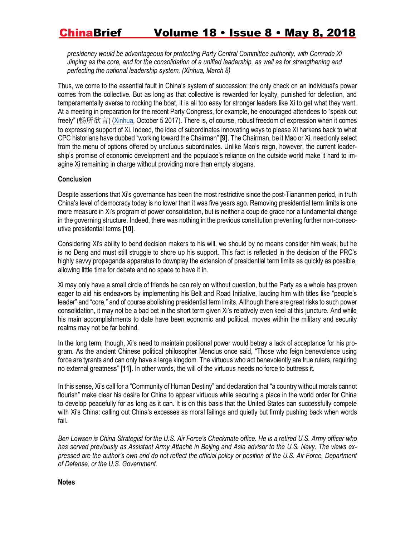*presidency would be advantageous for protecting Party Central Committee authority, with Comrade Xi Jinping as the core, and for the consolidation of a unified leadership, as well as for strengthening and perfecting the national leadership system. (Xinhua, March 8)* 

Thus, we come to the essential fault in China's system of succession: the only check on an individual's power comes from the collective. But as long as that collective is rewarded for loyalty, punished for defection, and temperamentally averse to rocking the boat, it is all too easy for stronger leaders like Xi to get what they want. At a meeting in preparation for the recent Party Congress, for example, he encouraged attendees to "speak out freely" (畅所欲言) (Xinhua, October 5 2017). There is, of course, robust freedom of expression when it comes to expressing support of Xi. Indeed, the idea of subordinates innovating ways to please Xi harkens back to what CPC historians have dubbed "working toward the Chairman" **[9]**. The Chairman, be it Mao or Xi, need only select from the menu of options offered by unctuous subordinates. Unlike Mao's reign, however, the current leadership's promise of economic development and the populace's reliance on the outside world make it hard to imagine Xi remaining in charge without providing more than empty slogans.

#### **Conclusion**

Despite assertions that Xi's governance has been the most restrictive since the post-Tiananmen period, in truth China's level of democracy today is no lower than it was five years ago. Removing presidential term limits is one more measure in Xi's program of power consolidation, but is neither a coup de grace nor a fundamental change in the governing structure. Indeed, there was nothing in the previous constitution preventing further non-consecutive presidential terms **[10]**.

Considering Xi's ability to bend decision makers to his will, we should by no means consider him weak, but he is no Deng and must still struggle to shore up his support. This fact is reflected in the decision of the PRC's highly savvy propaganda apparatus to downplay the extension of presidential term limits as quickly as possible, allowing little time for debate and no space to have it in.

Xi may only have a small circle of friends he can rely on without question, but the Party as a whole has proven eager to aid his endeavors by implementing his Belt and Road Initiative, lauding him with titles like "people's leader" and "core," and of course abolishing presidential term limits. Although there are great risks to such power consolidation, it may not be a bad bet in the short term given Xi's relatively even keel at this juncture. And while his main accomplishments to date have been economic and political, moves within the military and security realms may not be far behind.

In the long term, though, Xi's need to maintain positional power would betray a lack of acceptance for his program. As the ancient Chinese political philosopher Mencius once said, "Those who feign benevolence using force are tyrants and can only have a large kingdom. The virtuous who act benevolently are true rulers, requiring no external greatness" **[11]**. In other words, the will of the virtuous needs no force to buttress it.

In this sense, Xi's call for a "Community of Human Destiny" and declaration that "a country without morals cannot flourish" make clear his desire for China to appear virtuous while securing a place in the world order for China to develop peacefully for as long as it can. It is on this basis that the United States can successfully compete with Xi's China: calling out China's excesses as moral failings and quietly but firmly pushing back when words fail.

*Ben Lowsen is China Strategist for the U.S. Air Force's Checkmate office. He is a retired U.S. Army officer who has served previously as Assistant Army Attaché in Beijing and Asia advisor to the U.S. Navy. The views expressed are the author's own and do not reflect the official policy or position of the U.S. Air Force, Department of Defense, or the U.S. Government.*

**Notes**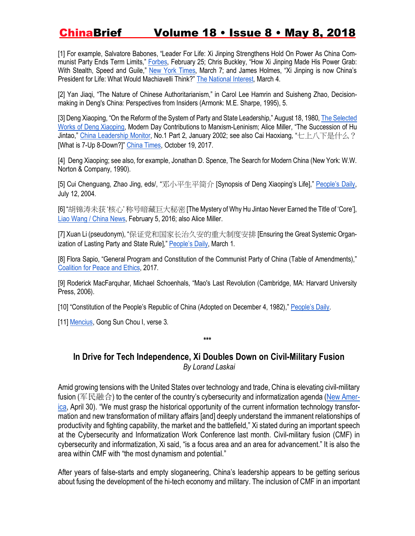[1] For example, Salvatore Babones, "Leader For Life: Xi Jinping Strengthens Hold On Power As China Communist Party Ends Term Limits," Forbes, February 25; Chris Buckley, "How Xi Jinping Made His Power Grab: With Stealth, Speed and Guile," New York Times, March 7; and James Holmes, "Xi Jinping is now China's President for Life: What Would Machiavelli Think?" The National Interest, March 4.

[2] Yan Jiaqi, "The Nature of Chinese Authoritarianism," in Carol Lee Hamrin and Suisheng Zhao, Decisionmaking in Deng's China: Perspectives from Insiders (Armonk: M.E. Sharpe, 1995), 5.

[3] Deng Xiaoping, "On the Reform of the System of Party and State Leadership," August 18, 1980, The Selected Works of Deng Xiaoping, Modern Day Contributions to Marxism-Leninism; Alice Miller, "The Succession of Hu Jintao," China Leadership Monitor, No.1 Part 2, January 2002; see also Cai Haoxiang, "七上八下是什么? [What is 7-Up 8-Down?]" China Times, October 19, 2017.

[4] Deng Xiaoping; see also, for example, Jonathan D. Spence, The Search for Modern China (New York: W.W. Norton & Company, 1990).

[5] Cui Chenguang, Zhao Jing, eds/, "邓小平生平简介 [Synopsis of Deng Xiaoping's Life]," People's Daily, July 12, 2004.

[6] "胡锦涛未获 '核心' 称号暗藏巨大秘密[The Mystery of Why Hu Jintao Never Earned the Title of 'Core'], Liao Wang / China News, February 5, 2016; also Alice Miller.

[7] Xuan Li (pseudonym), "保证党和国家长治久安的重大制度安排 [Ensuring the Great Systemic Organization of Lasting Party and State Rule]," People's Daily, March 1.

[8] Flora Sapio, "General Program and Constitution of the Communist Party of China (Table of Amendments)," Coalition for Peace and Ethics, 2017.

[9] Roderick MacFarquhar, Michael Schoenhals, "Mao's Last Revolution (Cambridge, MA: Harvard University Press, 2006).

[10] "Constitution of the People's Republic of China (Adopted on December 4, 1982)," People's Daily.

[11] Mencius, Gong Sun Chou I, verse 3.

**In Drive for Tech Independence, Xi Doubles Down on Civil-Military Fusion** *By Lorand Laskai*

**\*\*\***

Amid growing tensions with the United States over technology and trade, China is elevating civil-military fusion (军民融合) to the center of the country's cybersecurity and informatization agenda (New America, April 30). "We must grasp the historical opportunity of the current information technology transformation and new transformation of military affairs [and] deeply understand the immanent relationships of productivity and fighting capability, the market and the battlefield," Xi stated during an important speech at the Cybersecurity and Informatization Work Conference last month. Civil-military fusion (CMF) in cybersecurity and informatization, Xi said, "is a focus area and an area for advancement." It is also the area within CMF with "the most dynamism and potential."

After years of false-starts and empty sloganeering, China's leadership appears to be getting serious about fusing the development of the hi-tech economy and military. The inclusion of CMF in an important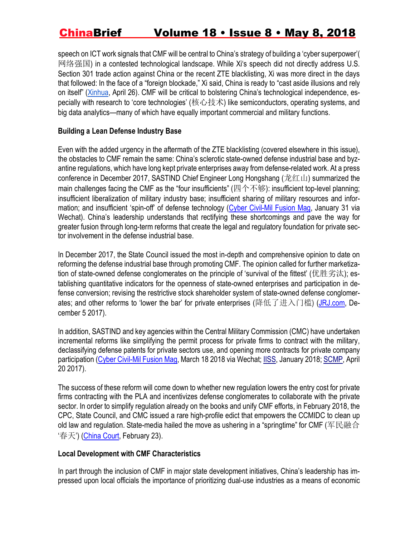speech on ICT work signals that CMF will be central to China's strategy of building a 'cyber superpower'( 网络强国) in a contested technological landscape. While Xi's speech did not directly address U.S. Section 301 trade action against China or the recent ZTE blacklisting, Xi was more direct in the days that followed: In the face of a "foreign blockade," Xi said, China is ready to "cast aside illusions and rely on itself" (Xinhua, April 26). CMF will be critical to bolstering China's technological independence, especially with research to 'core technologies' (核心技术) like semiconductors, operating systems, and big data analytics—many of which have equally important commercial and military functions.

#### **Building a Lean Defense Industry Base**

Even with the added urgency in the aftermath of the ZTE blacklisting (covered elsewhere in this issue), the obstacles to CMF remain the same: China's sclerotic state-owned defense industrial base and byzantine regulations, which have long kept private enterprises away from defense-related work. At a press conference in December 2017, SASTIND Chief Engineer Long Hongshang (龙红山) summarized the main challenges facing the CMF as the "four insufficients" (四个不够): insufficient top-level planning; insufficient liberalization of military industry base; insufficient sharing of military resources and information; and insufficient 'spin-off' of defense technology (Cyber Civil-Mil Fusion Mag, January 31 via Wechat). China's leadership understands that rectifying these shortcomings and pave the way for greater fusion through long-term reforms that create the legal and regulatory foundation for private sector involvement in the defense industrial base.

In December 2017, the State Council issued the most in-depth and comprehensive opinion to date on reforming the defense industrial base through promoting CMF. The opinion called for further marketization of state-owned defense conglomerates on the principle of 'survival of the fittest' (优胜劣汰); establishing quantitative indicators for the openness of state-owned enterprises and participation in defense conversion; revising the restrictive stock shareholder system of state-owned defense conglomerates; and other reforms to 'lower the bar' for private enterprises (降低了进入门槛) (JRJ.com, December 5 2017).

In addition, SASTIND and key agencies within the Central Military Commission (CMC) have undertaken incremental reforms like simplifying the permit process for private firms to contract with the military, declassifying defense patents for private sectors use, and opening more contracts for private company participation (Cyber Civil-Mil Fusion Mag, March 18 2018 via Wechat; IISS, January 2018; SCMP, April 20 2017).

The success of these reform will come down to whether new regulation lowers the entry cost for private firms contracting with the PLA and incentivizes defense conglomerates to collaborate with the private sector. In order to simplify regulation already on the books and unify CMF efforts, in February 2018, the CPC, State Council, and CMC issued a rare high-profile edict that empowers the CCMIDC to clean up old law and regulation. State-media hailed the move as ushering in a "springtime" for CMF (军民融合 '春天') (China Court, February 23).

#### **Local Development with CMF Characteristics**

In part through the inclusion of CMF in major state development initiatives, China's leadership has impressed upon local officials the importance of prioritizing dual-use industries as a means of economic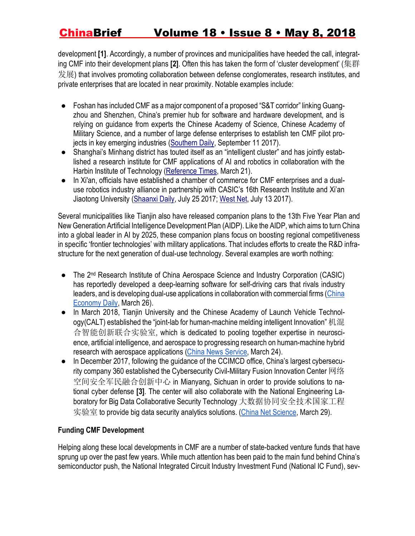development **[1]**. Accordingly, a number of provinces and municipalities have heeded the call, integrating CMF into their development plans **[2]**. Often this has taken the form of 'cluster development' (集群 发展) that involves promoting collaboration between defense conglomerates, research institutes, and private enterprises that are located in near proximity. Notable examples include:

- Foshan has included CMF as a major component of a proposed "S&T corridor" linking Guangzhou and Shenzhen, China's premier hub for software and hardware development, and is relying on guidance from experts the Chinese Academy of Science, Chinese Academy of Military Science, and a number of large defense enterprises to establish ten CMF pilot projects in key emerging industries (Southern Daily, September 11 2017).
- Shanghai's Minhang district has touted itself as an "intelligent cluster" and has jointly established a research institute for CMF applications of AI and robotics in collaboration with the Harbin Institute of Technology (Reference Times, March 21).
- In Xi'an, officials have established a chamber of commerce for CMF enterprises and a dualuse robotics industry alliance in partnership with CASIC's 16th Research Institute and Xi'an Jiaotong University (Shaanxi Daily, July 25 2017; West Net, July 13 2017).

Several municipalities like Tianjin also have released companion plans to the 13th Five Year Plan and New Generation Artificial Intelligence Development Plan (AIDP). Like the AIDP, which aims to turn China into a global leader in AI by 2025, these companion plans focus on boosting regional competitiveness in specific 'frontier technologies' with military applications. That includes efforts to create the R&D infrastructure for the next generation of dual-use technology. Several examples are worth nothing:

- The 2<sup>nd</sup> Research Institute of China Aerospace Science and Industry Corporation (CASIC) has reportedly developed a deep-learning software for self-driving cars that rivals industry leaders, and is developing dual-use applications in collaboration with commercial firms (China Economy Daily, March 26).
- In March 2018, Tianjin University and the Chinese Academy of Launch Vehicle Technology(CALT) established the "joint-lab for human-machine melding intelligent Innovation" 机混 合智能创新联合实验室, which is dedicated to pooling together expertise in neuroscience, artificial intelligence, and aerospace to progressing research on human-machine hybrid research with aerospace applications (China News Service, March 24).
- In December 2017, following the guidance of the CCIMCD office, China's largest cybersecurity company 360 established the Cybersecurity Civil-Military Fusion Innovation Center 网络 空间安全军民融合创新中心 in Mianyang, Sichuan in order to provide solutions to national cyber defense **[3]**. The center will also collaborate with the National Engineering Laboratory for Big Data Collaborative Security Technology 大数据协同安全技术国家工程 实验室 to provide big data security analytics solutions. (China Net Science, March 29).

### **Funding CMF Development**

Helping along these local developments in CMF are a number of state-backed venture funds that have sprung up over the past few years. While much attention has been paid to the main fund behind China's semiconductor push, the National Integrated Circuit Industry Investment Fund (National IC Fund), sev-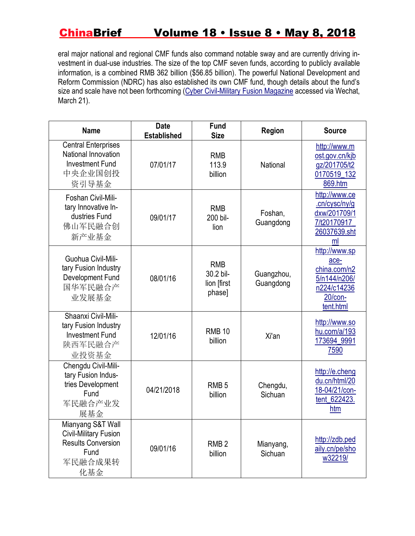eral major national and regional CMF funds also command notable sway and are currently driving investment in dual-use industries. The size of the top CMF seven funds, according to publicly available information, is a combined RMB 362 billion (\$56.85 billion). The powerful National Development and Reform Commission (NDRC) has also established its own CMF fund, though details about the fund's size and scale have not been forthcoming (Cyber Civil-Military Fusion Magazine accessed via Wechat, March 21).

| <b>Name</b>                                                                                              | <b>Date</b><br><b>Established</b> | <b>Fund</b><br><b>Size</b>                       | Region                  | <b>Source</b>                                                                                |
|----------------------------------------------------------------------------------------------------------|-----------------------------------|--------------------------------------------------|-------------------------|----------------------------------------------------------------------------------------------|
| <b>Central Enterprises</b><br>National Innovation<br><b>Investment Fund</b><br>中央企业国创投<br>资引导基金          | 07/01/17                          | <b>RMB</b><br>113.9<br>billion                   | National                | http://www.m<br>ost.gov.cn/kjb<br>gz/201705/t2<br>0170519_132<br>869.htm                     |
| Foshan Civil-Mili-<br>tary Innovative In-<br>dustries Fund<br>佛山军民融合创<br>新产业基金                           | 09/01/17                          | <b>RMB</b><br>200 bil-<br>lion                   | Foshan,<br>Guangdong    | http://www.ce<br>.cn/cysc/ny/g<br>dxw/201709/1<br>7/t20170917<br>26037639.sht<br>ml          |
| Guohua Civil-Mili-<br>tary Fusion Industry<br>Development Fund<br>国华军民融合产<br>业发展基金                       | 08/01/16                          | <b>RMB</b><br>30.2 bil-<br>lion [first<br>phase] | Guangzhou,<br>Guangdong | http://www.sp<br>ace-<br>china.com/n2<br>5/n144/n206/<br>n224/c14236<br>20/con-<br>tent.html |
| Shaanxi Civil-Mili-<br>tary Fusion Industry<br><b>Investment Fund</b><br>陕西军民融合产<br>业投资基金                | 12/01/16                          | <b>RMB 10</b><br>billion                         | Xi'an                   | http://www.so<br>hu.com/a/193<br>173694_9991<br>7590                                         |
| Chengdu Civil-Mili-<br>tary Fusion Indus-<br>tries Development<br>Fund<br>军民融合产业发<br>展基金                 | 04/21/2018                        | RMB <sub>5</sub><br>billion                      | Chengdu,<br>Sichuan     | http://e.cheng<br>du.cn/html/20<br>18-04/21/con-<br>tent_622423.<br>htm                      |
| Mianyang S&T Wall<br><b>Civil-Military Fusion</b><br><b>Results Conversion</b><br>Fund<br>军民融合成果转<br>化基金 | 09/01/16                          | RMB <sub>2</sub><br>billion                      | Mianyang,<br>Sichuan    | http://zdb.ped<br>aily.cn/pe/sho<br>w32219/                                                  |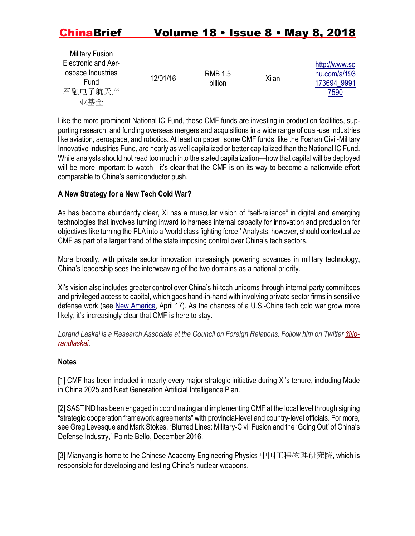| <b>Military Fusion</b><br>Electronic and Aer-<br>ospace Industries<br>Fund<br>军融电子航天产<br>业基金 | 12/01/16 | <b>RMB 1.5</b><br>billion | Xi'an | http://www.so<br>hu.com/a/193<br>173694 9991<br>7590 |
|----------------------------------------------------------------------------------------------|----------|---------------------------|-------|------------------------------------------------------|
|----------------------------------------------------------------------------------------------|----------|---------------------------|-------|------------------------------------------------------|

Like the more prominent National IC Fund, these CMF funds are investing in production facilities, supporting research, and funding overseas mergers and acquisitions in a wide range of dual-use industries like aviation, aerospace, and robotics. At least on paper, some CMF funds, like the Foshan Civil-Military Innovative Industries Fund, are nearly as well capitalized or better capitalized than the National IC Fund. While analysts should not read too much into the stated capitalization—how that capital will be deployed will be more important to watch—it's clear that the CMF is on its way to become a nationwide effort comparable to China's semiconductor push.

### **A New Strategy for a New Tech Cold War?**

As has become abundantly clear, Xi has a muscular vision of "self-reliance" in digital and emerging technologies that involves turning inward to harness internal capacity for innovation and production for objectives like turning the PLA into a 'world class fighting force.' Analysts, however, should contextualize CMF as part of a larger trend of the state imposing control over China's tech sectors.

More broadly, with private sector innovation increasingly powering advances in military technology, China's leadership sees the interweaving of the two domains as a national priority.

Xi's vision also includes greater control over China's hi-tech unicorns through internal party committees and privileged access to capital, which goes hand-in-hand with involving private sector firms in sensitive defense work (see New America, April 17). As the chances of a U.S.-China tech cold war grow more likely, it's increasingly clear that CMF is here to stay.

*Lorand Laskai is a Research Associate at the Council on Foreign Relations. Follow him on Twitter @lorandlaskai.*

#### **Notes**

[1] CMF has been included in nearly every major strategic initiative during Xi's tenure, including Made in China 2025 and Next Generation Artificial Intelligence Plan.

[2] SASTIND has been engaged in coordinating and implementing CMF at the local level through signing "strategic cooperation framework agreements" with provincial-level and country-level officials. For more, see Greg Levesque and Mark Stokes, "Blurred Lines: Military-Civil Fusion and the 'Going Out' of China's Defense Industry," Pointe Bello, December 2016.

[3] Mianyang is home to the Chinese Academy Engineering Physics 中国工程物理研究院, which is responsible for developing and testing China's nuclear weapons.